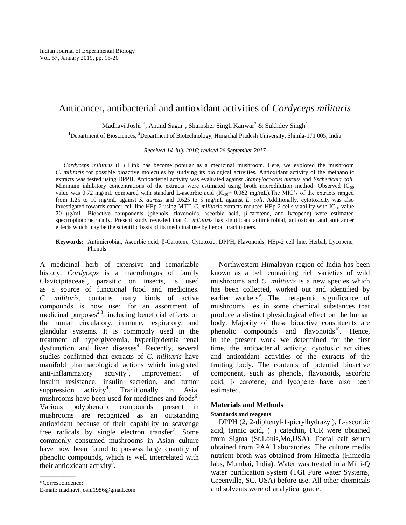# Anticancer, antibacterial and antioxidant activities of *Cordyceps militaris*

Madhavi Joshi<sup>1\*</sup>, Anand Sagar<sup>1</sup>, Shamsher Singh Kanwar<sup>2</sup> & Sukhdev Singh<sup>2</sup>

<sup>1</sup>Department of Biosciences; <sup>2</sup>Department of Biotechnology, Himachal Pradesh University, Shimla-171 005, India

*Received 14 July 2016*; *revised 26 September 2017*

*Cordyceps militaris* (L.) Link has become popular as a medicinal mushroom. Here, we explored the mushroom *C. militaris* for possible bioactive molecules by studying its biological activities. Antioxidant activity of the methanolic extracts was tested using DPPH. Antibacterial activity was evaluated against *Staphylococcus aureus* and *Escherichia coli*. Minimum inhibitory concentrations of the extracts were estimated using broth microdilution method. Observed IC<sub>50</sub> value was 0.72 mg/mL compared with standard L-ascorbic acid ( $IC_{50}$ = 0.062 mg/mL). The MIC's of the extracts ranged from 1.25 to 10 mg/mL against *S. aureus* and 0.625 to 5 mg/mL against *E. coli.* Additionally, cytotoxicity was also investigated towards cancer cell line HEp-2 using MTT. *C. militaris* extracts reduced HEp-2 cells viability with IC<sub>50</sub> value 20 µg/mL. Bioactive components (phenols, flavonoids, ascorbic acid, β-carotene, and lycopene) were estimated spectrophotometrically. Present study revealed that *C. militaris* has significant antimicrobial, antioxidant and anticancer effects which may be the scientific basis of its medicinal use by herbal practitioners.

**Keywords:** Antimicrobial, Ascorbic acid, β-Carotene, Cytotoxic, DPPH, Flavonoids, HEp-2 cell line, Herbal, Lycopene, Phenols

A medicinal herb of extensive and remarkable history, *Cordyceps* is a macrofungus of family Clavicipitaceae<sup>1</sup>, parasitic on insects, is used as a source of functional food and medicines. *C. militaris*, contains many kinds of active compounds is now used for an assortment of medicinal purposes $^{2,3}$ , including beneficial effects on the human circulatory, immune, respiratory, and glandular systems. It is commonly used in the treatment of hyperglycemia, hyperlipidemia renal dysfunction and liver diseases<sup>4</sup>. Recently, several studies confirmed that extracts of *C. militaris* have manifold pharmacological actions which integrated anti-inflammatory  $\arctan^5$ . improvement of insulin resistance, insulin secretion, and tumor suppression  $\arct{activity}^4$ . . Traditionally in Asia, mushrooms have been used for medicines and foods<sup>6</sup>. Various polyphenolic compounds present in mushrooms are recognized as an outstanding antioxidant because of their capability to scavenge free radicals by single electron transfer<sup>7</sup>. Some commonly consumed mushrooms in Asian culture have now been found to possess large quantity of phenolic compounds, which is well interrelated with their antioxidant activity $8$ .

——————

Northwestern Himalayan region of India has been known as a belt containing rich varieties of wild mushrooms and *C. militaris* is a new species which has been collected, worked out and identified by earlier workers<sup>9</sup>. The therapeutic significance of mushrooms lies in some chemical substances that produce a distinct physiological effect on the human body. Majority of these bioactive constituents are phenolic compounds and flavonoids<sup>10</sup>. Hence, in the present work we determined for the first time, the antibacterial activity, cytotoxic activities and antioxidant activities of the extracts of the fruiting body. The contents of potential bioactive component, such as phenols, flavonoids, ascorbic acid, β carotene, and lycopene have also been estimated.

# **Materials and Methods**

### **Standards and reagents**

DPPH (2, 2-diphenyl-1-picrylhydrazyl), L-ascorbic acid, tannic acid, (+) catechin, FCR were obtained from Sigma (St.Louis,Mo,USA). Foetal calf serum obtained from PAA Laboratories. The culture media nutrient broth was obtained from Himedia (Himedia labs, Mumbai, India). Water was treated in a Milli-Q water purification system (TGI Pure water Systems, Greenville, SC, USA) before use. All other chemicals and solvents were of analytical grade.

<sup>\*</sup>Correspondence: E-mail: madhavi.joshi1986@gmail.com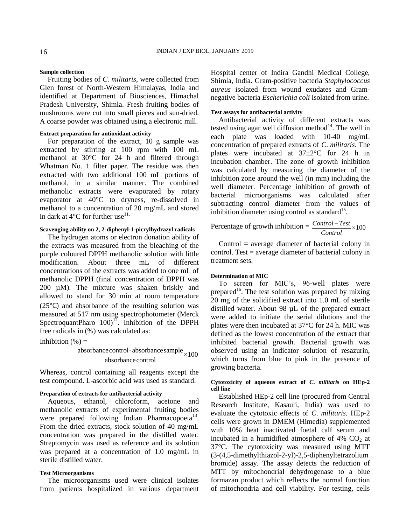### **Sample collection**

Fruiting bodies of *C. militaris*, were collected from Glen forest of North-Western Himalayas, India and identified at Department of Biosciences, Himachal Pradesh University, Shimla. Fresh fruiting bodies of mushrooms were cut into small pieces and sun-dried. A coarse powder was obtained using a electronic mill.

### **Extract preparation for antioxidant activity**

For preparation of the extract, 10 g sample was extracted by stirring at 100 rpm with 100 mL methanol at 30°C for 24 h and filtered through Whatman No. 1 filter paper. The residue was then extracted with two additional 100 mL portions of methanol, in a similar manner. The combined methanolic extracts were evaporated by rotary evaporator at 40°C to dryness, re-dissolved in methanol to a concentration of 20 mg/mL and stored in dark at  $4^{\circ}$ C for further use<sup>11.</sup>

# **Scavenging ability on 2, 2-diphenyl-1-picrylhydrazyl radicals**

The hydrogen atoms or electron donation ability of the extracts was measured from the bleaching of the purple coloured DPPH methanolic solution with little modification. About three mL of different concentrations of the extracts was added to one mL of methanolic DPPH (final concentration of DPPH was 200  $\mu$ M). The mixture was shaken briskly and allowed to stand for 30 min at room temperature (25°C) and absorbance of the resulting solution was measured at 517 nm using spectrophotometer (Merck SpectroquantPharo  $100$ <sup>12</sup>. Inhibition of the DPPH free radicals in (%) was calculated as:

Inhibition  $(\%) =$ 

$$
\frac{absorbance control - absorbance sample}{absorbance control} \times 100
$$

Whereas, control containing all reagents except the test compound. L-ascorbic acid was used as standard.

### **Preparation of extracts for antibacterial activity**

Aqueous, ethanol, chloroform, acetone and methanolic extracts of experimental fruiting bodies were prepared following Indian Pharmacopoeia<sup>13</sup>. From the dried extracts, stock solution of 40 mg/mL concentration was prepared in the distilled water. Streptomycin was used as reference and its solution was prepared at a concentration of 1.0 mg/mL in sterile distilled water.

### **Test Microorganisms**

The microorganisms used were clinical isolates from patients hospitalized in various department Hospital center of Indira Gandhi Medical College, Shimla, India. Gram-positive bacteria *Staphylococcus aureus* isolated from wound exudates and Gramnegative bacteria *Escherichia coli* isolated from urine.

### **Test assays for antibacterial activity**

Antibacterial activity of different extracts was tested using agar well diffusion method $14$ . The well in each plate was loaded with 10-40 mg/mL concentration of prepared extracts of *C*. *militaris*. The plates were incubated at 37±2°C for 24 h in incubation chamber. The zone of growth inhibition was calculated by measuring the diameter of the inhibition zone around the well (in mm) including the well diameter. Percentage inhibition of growth of bacterial microorganisms was calculated after subtracting control diameter from the values of inhibition diameter using control as standard<sup>15</sup>.

Percentage of growth inhibition =  $\frac{Control - Test}{Control} \times 100$ *Control Test*

Control = average diameter of bacterial colony in control. Test = average diameter of bacterial colony in treatment sets.

#### **Determination of MIC**

To screen for MIC's, 96-well plates were prepared<sup>16</sup>. The test solution was prepared by mixing 20 mg of the solidified extract into 1.0 mL of sterile distilled water. About 98 µL of the prepared extract were added to initiate the serial dilutions and the plates were then incubated at 37°C for 24 h. MIC was defined as the lowest concentration of the extract that inhibited bacterial growth. Bacterial growth was observed using an indicator solution of resazurin, which turns from blue to pink in the presence of growing bacteria.

### **Cytotoxicity of aqueous extract of** *C***.** *militari***s on HEp-2 cell line**

Established HEp-2 cell line (procured from Central Research Institute, Kasauli, India) was used to evaluate the cytotoxic effects of *C*. *militaris.* HEp-2 cells were grown in DMEM (Himedia) supplemented with 10% heat inactivated foetal calf serum and incubated in a humidified atmosphere of  $4\%$  CO<sub>2</sub> at 37°C. The cytotoxicity was measured using MTT (3-(4,5-dimethylthiazol-2-yl)-2,5-diphenyltetrazolium bromide) assay. The assay detects the reduction of MTT by mitochondrial dehydrogenase to a blue formazan product which reflects the normal function of mitochondria and cell viability. For testing, cells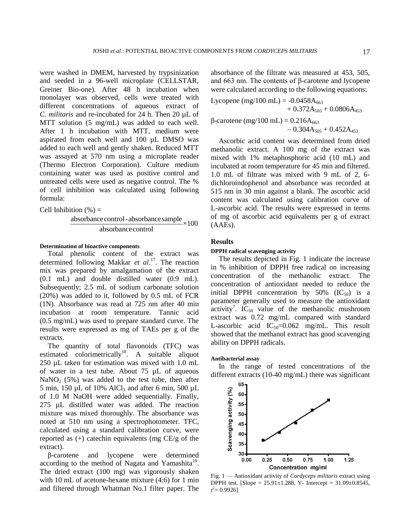were washed in DMEM, harvested by trypsinization and seeded in a 96-well microplate (CELLSTAR, Greiner Bio-one). After 48 h incubation when monolayer was observed, cells were treated with different concentrations of aqueous extract of *C. militaris* and re-incubated for 24 h. Then 20 µL of MTT solution (5 mg/mL) was added to each well. After 1 h incubation with MTT, medium were aspirated from each well and 100 µL DMSO was added to each well and gently shaken. Reduced MTT was assayed at 570 nm using a microplate reader (Thermo Electron Corporation). Culture medium containing water was used as positive control and untreated cells were used as negative control. The % of cell inhibition was calculated using following formula:

Cell Inhibition 
$$
(\%)
$$
 =

$$
\frac{absorbance control - absorbance sample}{absorbance control} \times 100
$$

### **Determination of bioactive components**

Total phenolic content of the extract was determined following Makkar *et al*. <sup>17</sup>. The reaction mix was prepared by amalgamation of the extract (0.1 mL) and double distilled water (0.9 mL). Subsequently; 2.5 mL of sodium carbonate solution (20%) was added to it, followed by 0.5 mL of FCR (1N). Absorbance was read at 725 nm after 40 min incubation at room temperature. Tannic acid (0.5 mg/mL) was used to prepare standard curve. The results were expressed as mg of TAEs per g of the extracts.

The quantity of total flavonoids (TFC) was estimated colorimetrically<sup>18</sup>. A suitable aliquot 250 µL taken for estimation was mixed with 1.0 mL of water in a test tube. About 75 µL of aqueous  $NaNO<sub>2</sub>$  (5%) was added to the test tube, then after 5 min, 150  $\mu$ L of 10% AlCl<sub>3</sub> and after 6 min, 500  $\mu$ L of 1.0 M NaOH were added sequentially. Finally, 275 µL distilled water was added. The reaction mixture was mixed thoroughly. The absorbance was noted at 510 nm using a spectrophotometer. TFC, calculated using a standard calibration curve, were reported as  $(+)$  catechin equivalents (mg  $CE/g$  of the extract).

β-carotene and lycopene were determined according to the method of Nagata and Yamashita<sup>19</sup>. The dried extract (100 mg) was vigorously shaken with 10 mL of acetone-hexane mixture  $(4:6)$  for 1 min and filtered through Whatman No.1 filter paper. The

absorbance of the filtrate was measured at 453, 505, and 663 nm. The contents of β-carotene and lycopene were calculated according to the following equations:

Lycopene (mg/100 mL) =  $-0.0458A_{663}$  $+ 0.372A_{505} + 0.0806A_{453}$ β-carotene (mg/100 mL) =  $0.216A_{663}$  $-0.304A_{505} + 0.452A_{453}$ 

Ascorbic acid content was determined from dried methanolic extract. A 100 mg of the extract was mixed with 1% metaphosphoric acid (10 mL) and incubated at room temperature for 45 min and filtered. 1.0 mL of filtrate was mixed with 9 mL of 2, 6 dichloroindophenol and absorbance was recorded at 515 nm in 30 min against a blank. The ascorbic acid content was calculated using calibration curve of L-ascorbic acid. The results were expressed in terms of mg of ascorbic acid equivalents per g of extract (AAEs).

# **Results**

## **DPPH radical scavenging activity**

The results depicted in Fig. 1 indicate the increase in % inhibition of DPPH free radical on increasing concentration of the methanolic extract. The concentration of antioxidant needed to reduce the initial DPPH concentration by  $50\%$  (IC<sub>50</sub>) is a parameter generally used to measure the antioxidant activity<sup>7</sup>. IC<sub>50</sub> value of the methanolic mushroom extract was 0.72 mg/mL compared with standard L-ascorbic acid  $IC_{50} = 0.062$  mg/mL. This result showed that the methanol extract has good scavenging ability on DPPH radicals.

### **Antibacterial assay**

In the range of tested concentrations of the different extracts (10-40 mg/mL) there was significant



Fig. 1 — Antioxidant activity of *Cordyceps militaris* extract using DPPH test. [Slope =  $25.91 \pm 1.288$ , Y- Intercept =  $31.09 \pm 0.8545$ ,  $r^2 = 0.9926$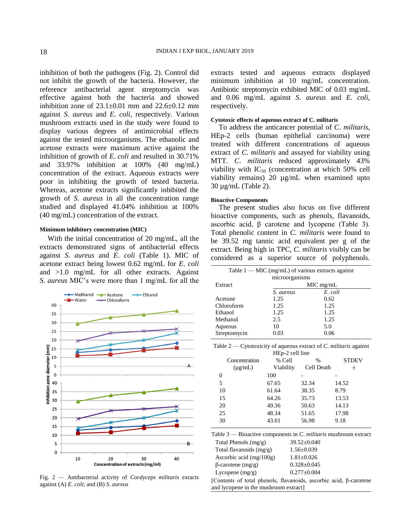inhibition of both the pathogens (Fig. 2). Control did not inhibit the growth of the bacteria. However, the reference antibacterial agent streptomycin was effective against both the bacteria and showed inhibition zone of  $23.1 \pm 0.01$  mm and  $22.6 \pm 0.12$  mm against *S*. *aureus* and *E*. *coli*, respectively. Various mushroom extracts used in the study were found to display various degrees of antimicrobial effects against the tested microorganisms. The ethanolic and acetone extracts were maximum active against the inhibition of growth of *E*. *coli* and resulted in 30.71% and 33.97% inhibition at 100% (40 mg/mL) concentration of the extract. Aqueous extracts were poor in inhibiting the growth of tested bacteria. Whereas, acetone extracts significantly inhibited the growth of *S*. *aureus* in all the concentration range studied and displayed 41.04% inhibition at 100% (40 mg/mL) concentration of the extract.

# **Minimum inhibitory concentration (MIC)**

With the initial concentration of 20 mg/mL, all the extracts demonstrated signs of antibacterial effects against *S*. *aureus* and *E*. *coli* (Table 1). MIC of acetone extract being lowest 0.62 mg/mL for *E*. *coli*  and >1.0 mg/mL for all other extracts. Against *S*. *aureus* MIC's were more than 1 mg/mL for all the



Fig. 2 — Antibacterial activity of *Cordyceps militaris* exracts against (A) *E*. *coli*; and (B) *S*. *aureus*

extracts tested and aqueous extracts displayed minimum inhibition at 10 mg/mL concentration. Antibiotic streptomycin exhibited MIC of 0.03 mg/mL and 0.06 mg/mL against *S*. *aureus* and *E*. *coli*, respectively.

## **Cytotoxic effects of aqueous extract of C. militaris**

To address the anticancer potential of *C*. *militaris*, HEp-2 cells (human epithelial carcinoma) were treated with different concentrations of aqueous extract of *C*. *militaris* and assayed for viability using MTT. *C*. *militaris* reduced approximately 43% viability with  $IC_{50}$  (concentration at which 50% cell viability remains) 20 µg/mL when examined upto 30 µg/mL (Table 2).

#### **Bioactive Components**

The present studies also focus on five different bioactive components, such as phenols, flavanoids, ascorbic acid, β carotene and lycopene (Table 3). Total phenolic content in *C*. *militaris* were found to be 39.52 mg tannic acid equivalent per g of the extract. Being high in TPC, *C*. *militaris* visibly can be considered as a superior source of polyphenols.

| Table $1 - MC$ (mg/mL) of various extracts against |             |         |  |  |
|----------------------------------------------------|-------------|---------|--|--|
| microorganisms                                     |             |         |  |  |
| Extract                                            | $MIC$ mg/mL |         |  |  |
|                                                    | S. aureus   | E. coli |  |  |
| Acetone                                            | 1.25        | 0.62    |  |  |
| Chloroform                                         | 1.25        | 1.25    |  |  |
| Ethanol                                            | 1.25        | 1.25    |  |  |
| Methanol                                           | 2.5         | 1.25    |  |  |
| Aqueous                                            | 10          | 5.0     |  |  |
| Streptomycin                                       | 0.03        | 0.06    |  |  |

| Table 2 — Cytotoxicity of aqueous extract of C. militaris against |  |
|-------------------------------------------------------------------|--|
| HEp-2 cell line                                                   |  |

| Concentration | % Cell    | $\frac{0}{0}$ | <b>STDEV</b> |
|---------------|-----------|---------------|--------------|
| $(\mu g/mL)$  | Viability | Cell Death    | 土            |
| 0             | 100       |               |              |
| 5             | 67.65     | 32.34         | 14.52        |
| 10            | 61.64     | 38.35         | 8.79         |
| 15            | 64.26     | 35.73         | 13.53        |
| 20            | 49.36     | 50.63         | 14.13        |
| 25            | 48.34     | 51.65         | 17.98        |
| 30            | 43.01     | 56.98         | 9.18         |
|               |           |               |              |

Table 3 — Bioactive components in *C*. *militaris* mushroom extract Total Phenols  $(mg/g)$  39.52 $\pm$ 0.040

| Total flavanoids $(mg/g)$ | $1.56 \pm 0.039$  |
|---------------------------|-------------------|
| Ascorbic acid $(mg/100g)$ | $1.81 \pm 0.026$  |
| $\beta$ -carotene (mg/g)  | $0.328 \pm 0.045$ |
| Lycopene $(mg/g)$         | $0.277+0.004$     |

[Contents of total phenols, flavanoids, ascorbic acid, β-carotene and lycopene in the mushroom extract]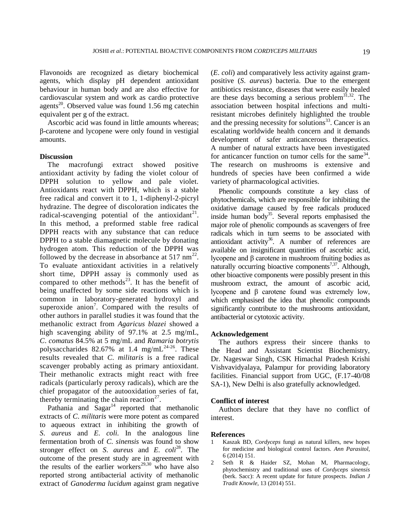Flavonoids are recognized as dietary biochemical agents, which display pH dependent antioxidant behaviour in human body and are also effective for cardiovascular system and work as cardio protective agents<sup>20</sup>. Observed value was found 1.56 mg catechin equivalent per g of the extract.

Ascorbic acid was found in little amounts whereas; β-carotene and lycopene were only found in vestigial amounts.

# **Discussion**

The macrofungi extract showed positive antioxidant activity by fading the violet colour of DPPH solution to yellow and pale violet. Antioxidants react with DPPH, which is a stable free radical and convert it to 1, 1-diphenyl-2-picryl hydrazine. The degree of discoloration indicates the radical-scavenging potential of the antioxidant<sup>21</sup>. In this method, a preformed stable free radical DPPH reacts with any substance that can reduce DPPH to a stable diamagnetic molecule by donating hydrogen atom. This reduction of the DPPH was followed by the decrease in absorbance at  $517 \text{ nm}^{22}$ . To evaluate antioxidant activities in a relatively short time, DPPH assay is commonly used as compared to other methods<sup>23</sup>. It has the benefit of being unaffected by some side reactions which is common in laboratory-generated hydroxyl and superoxide anion<sup>7</sup>. Compared with the results of other authors in parallel studies it was found that the methanolic extract from *Agaricus blazei* showed a high scavenging ability of 97.1% at 2.5 mg/mL, *C*. *comatus* 84.5% at 5 mg/mL and *Ramaria botrytis*  polysaccharides  $82.67\%$  at 1.4 mg/mL<sup>24-26</sup>. These results revealed that *C*. *militaris* is a free radical scavenger probably acting as primary antioxidant. Their methanolic extracts might react with free radicals (particularly peroxy radicals), which are the chief propagator of the autooxidation series of fat, thereby terminating the chain reaction<sup>27</sup>.

Pathania and  $Sagar^{14}$  reported that methanolic extracts of *C*. *militaris* were more potent as compared to aqueous extract in inhibiting the growth of *S*. *aureus* and *E*. *coli.* In the analogous line fermentation broth of *C*. *sinensis* was found to show stronger effect on *S*. *aureus* and *E*. *coli*<sup>28</sup> . The outcome of the present study are in agreement with the results of the earlier workers<sup>29,30</sup> who have also reported strong antibacterial activity of methanolic extract of *Ganoderma lucidum* against gram negative

(*E*. *coli*) and comparatively less activity against grampositive (*S*. *aureus*) bacteria. Due to the emergent antibiotics resistance, diseases that were easily healed are these days becoming a serious problem<sup>31,32</sup>. The association between hospital infections and multiresistant microbes definitely highlighted the trouble and the pressing necessity for solutions<sup>33</sup>. Cancer is an escalating worldwide health concern and it demands development of safer anticancerous therapeutics. A number of natural extracts have been investigated for anticancer function on tumor cells for the same  $34$ . The research on mushrooms is extensive and hundreds of species have been confirmed a wide variety of pharmacological activities.

Phenolic compounds constitute a key class of phytochemicals, which are responsible for inhibiting the oxidative damage caused by free radicals produced inside human body<sup>35</sup>. Several reports emphasised the major role of phenolic compounds as scavengers of free radicals which in turn seems to be associated with antioxidant activity<sup>36</sup>. A number of references are available on insignificant quantities of ascorbic acid, lycopene and β carotene in mushroom fruiting bodies as naturally occurring bioactive components<sup>7,37</sup>. Although, other bioactive components were possibly present in this mushroom extract, the amount of ascorbic acid, lycopene and β carotene found was extremely low, which emphasised the idea that phenolic compounds significantly contribute to the mushrooms antioxidant, antibacterial or cytotoxic activity.

### **Acknowledgement**

The authors express their sincere thanks to the Head and Assistant Scientist Biochemistry, Dr. Nageswar Singh, CSK Himachal Pradesh Krishi Vishvavidyalaya, Palampur for providing laboratory facilities. Financial support from UGC, (F.17-40/08 SA-1), New Delhi is also gratefully acknowledged.

## **Conflict of interest**

Authors declare that they have no conflict of interest.

#### **References**

- 1 Kaszak BD, *Cordyceps* fungi as natural killers, new hopes for medicine and biological control factors. *Ann Parasitol*, 6 (2014) 151.
- 2 Seth R & Haider SZ, Mohan M, Pharmacology, phytochemistry and traditional uses of *Cordyceps sinensis* (berk. Sacc): A recent update for future prospects. *Indian J Tradit Knowle*, 13 (2014) 551.